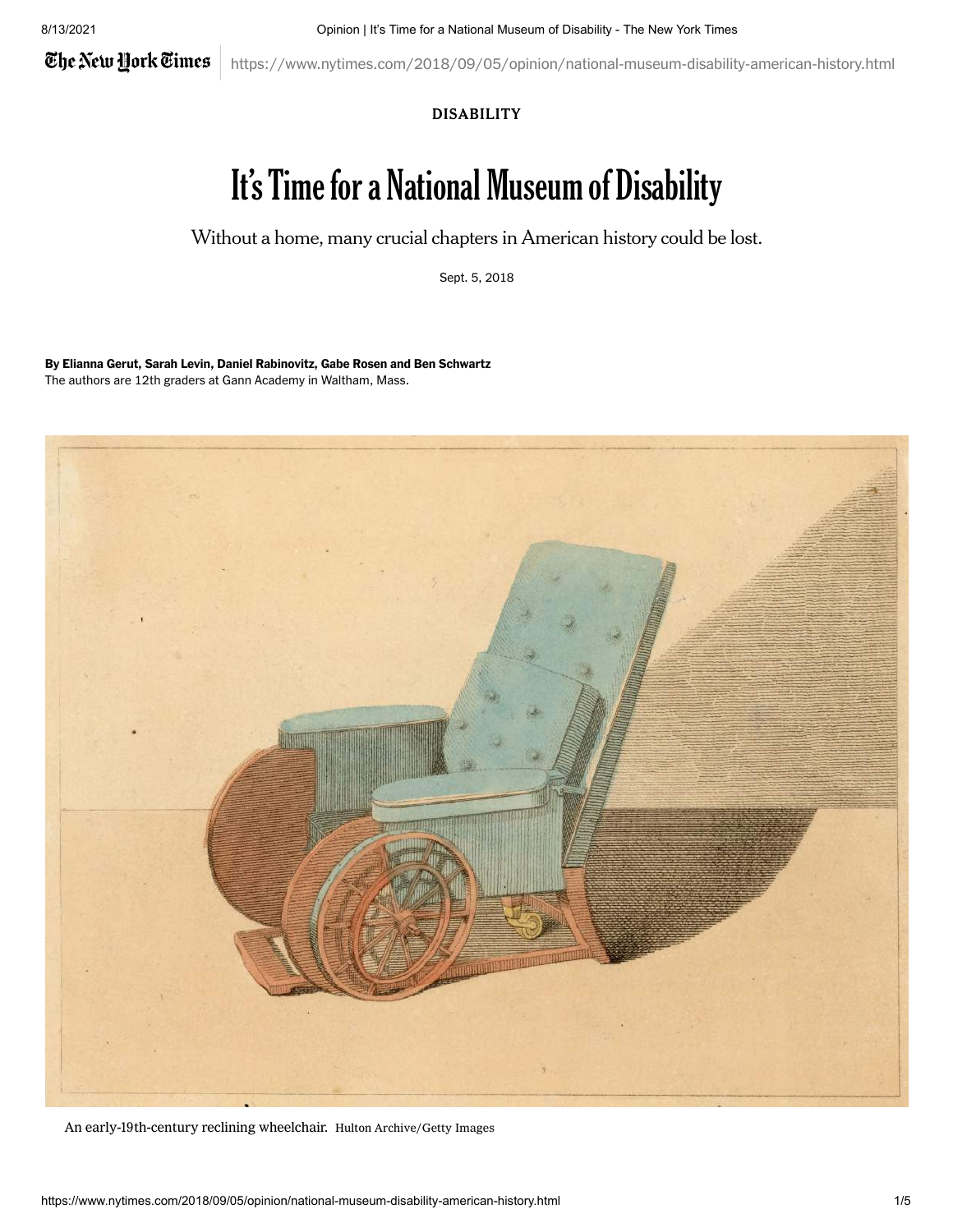The New York Times

https://www.nytimes.com/2018/09/05/opinion/national-museum-disability-american-history.html

## DISABILITY

## It's Time for a National Museum of Disability

Without a home, many crucial chapters in American history could be lost.

Sept. 5, 2018

By Elianna Gerut, Sarah Levin, Daniel Rabinovitz, Gabe Rosen and Ben Schwartz The authors are 12th graders at Gann Academy in Waltham, Mass.



An early-19th-century reclining wheelchair. Hulton Archive/Getty Images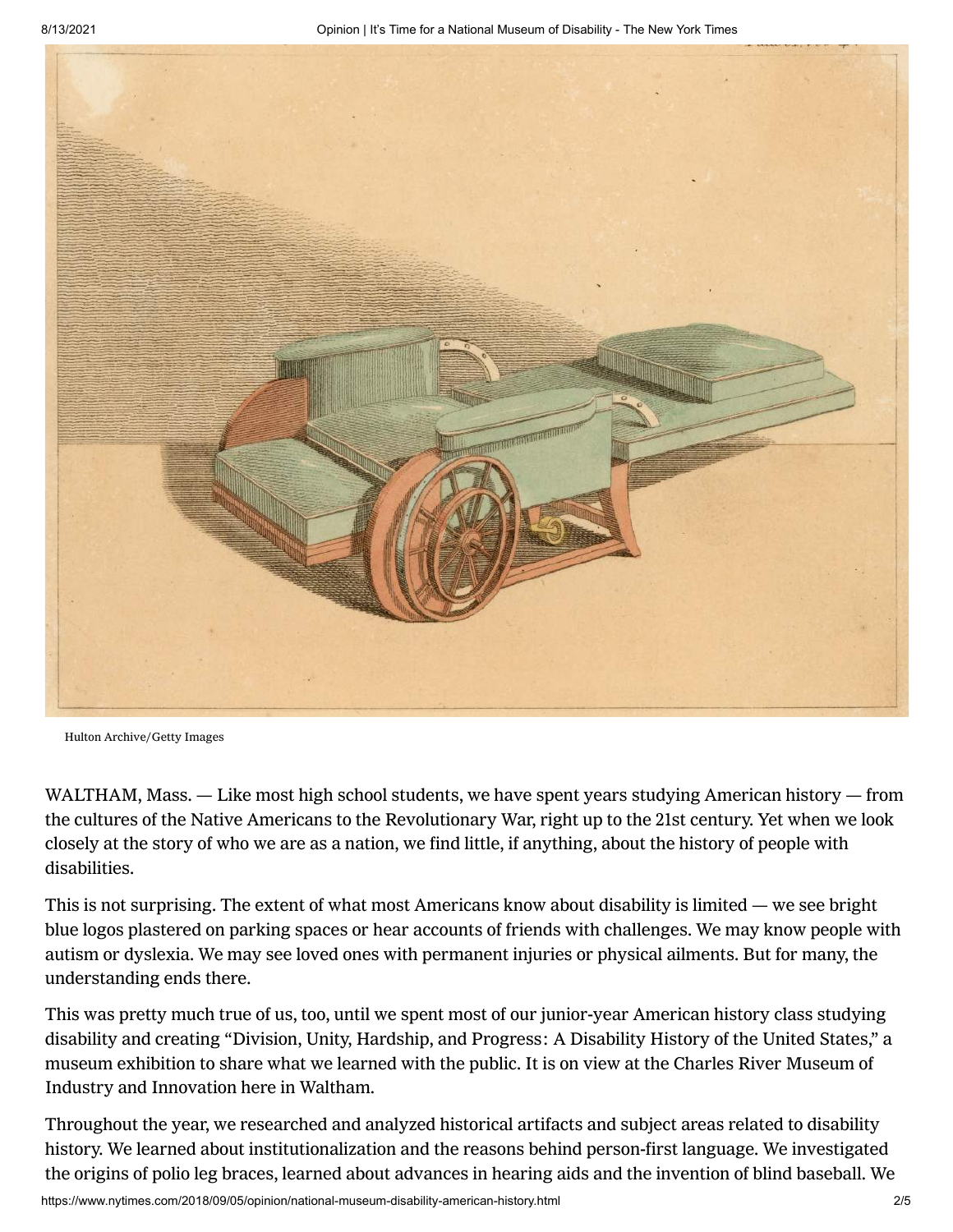

Hulton Archive/Getty Images

WALTHAM, Mass. — Like most high school students, we have spent years studying American history — from the cultures of the Native Americans to the Revolutionary War, right up to the 21st century. Yet when we look closely at the story of who we are as a nation, we find little, if anything, about the history of people with disabilities.

This is not surprising. The extent of what most Americans know about disability is limited — we see bright blue logos plastered on parking spaces or hear accounts of friends with challenges. We may know people with autism or dyslexia. We may see loved ones with permanent injuries or physical ailments. But for many, the understanding ends there.

This was pretty much true of us, too, until we spent most of our junior-year American history class studying disability and creating "Division, Unity, Hardship, and Progress: A Disability History of the United States," a museum [exhibition](https://www.charlesrivermuseum.org/disability/) to share what we learned with the public. It is on view at the Charles River Museum of Industry and Innovation here in Waltham.

Throughout the year, we researched and analyzed historical artifacts and subject areas related to disability history. We learned about institutionalization and the reasons behind person-first language. We investigated the origins of polio leg braces, learned about advances in hearing aids and the invention of blind baseball. We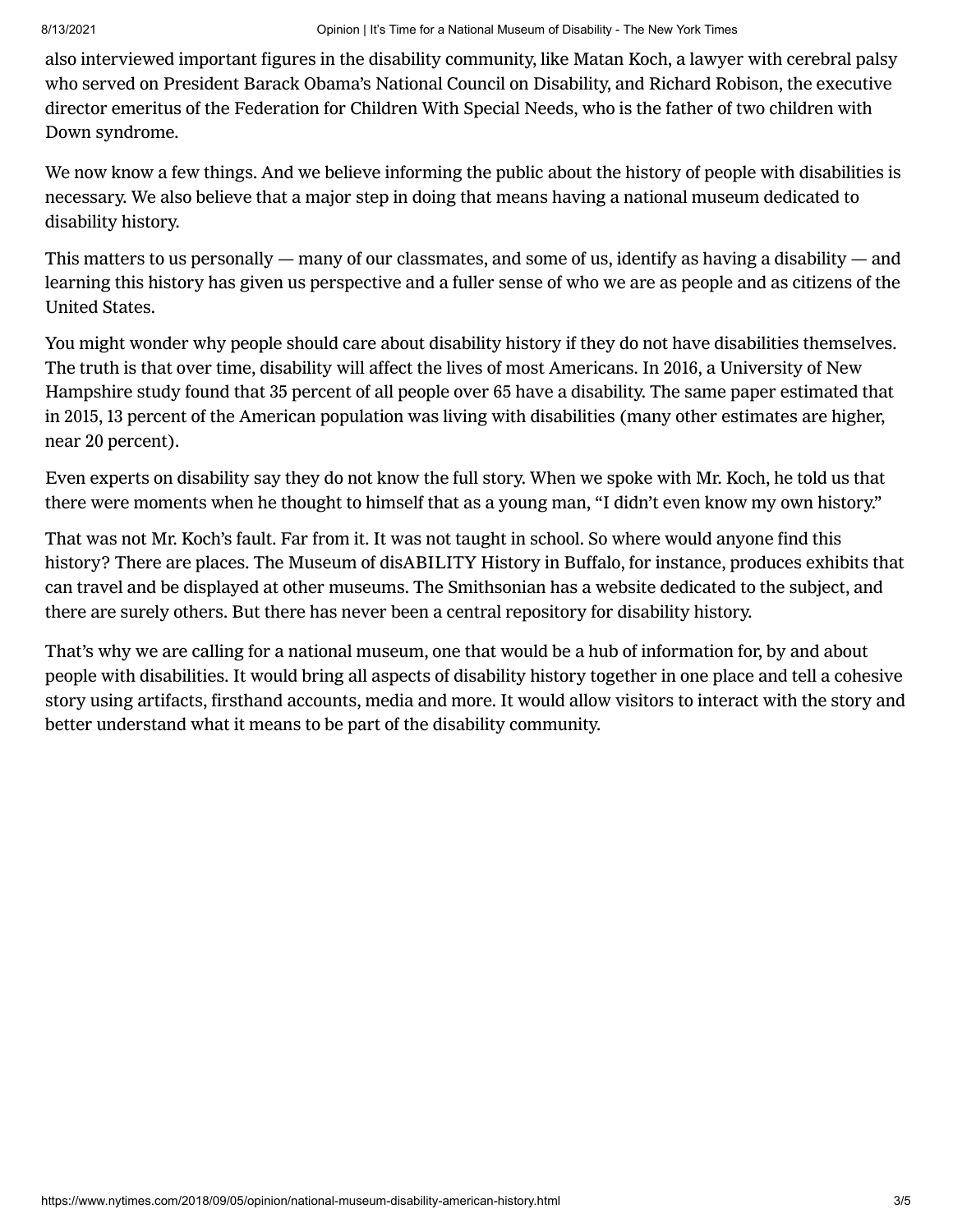also interviewed important figures in the disability community, like Matan Koch, a lawyer with cerebral palsy who served on President Barack Obama's National Council on Disability, and Richard Robison, the executive director emeritus of the [Federation](https://fcsn.org/) for Children With Special Needs, who is the father of two children with Down syndrome.

We now know a few things. And we believe informing the public about the history of people with disabilities is necessary. We also believe that a major step in doing that means having a national museum dedicated to disability history.

This matters to us personally — many of our classmates, and some of us, identify as having a disability — and learning this history has given us perspective and a fuller sense of who we are as people and as citizens of the United States.

You might wonder why people should care about disability history if they do not have disabilities themselves. The truth is that over time, disability will affect the lives of most [Americans.](https://disabilitycompendium.org/sites/default/files/user-uploads/2016_AnnualReport.pdf) In 2016, a University of New Hampshire study found that 35 percent of all people over 65 have a disability. The same paper estimated that in 2015, 13 percent of the American population was living with disabilities (many other estimates are higher, near 20 percent).

Even experts on disability say they do not know the full story. When we spoke with Mr. Koch, he told us that there were moments when he thought to himself that as a young man, "I didn't even know my own history."

That was not Mr. Koch's fault. Far from it. It was not taught in school. So where would anyone find this history? There are places. The Museum of disABILITY History in Buffalo, for instance, produces exhibits that can travel and be displayed at other museums. The Smithsonian has a [website](https://everybody.si.edu/) dedicated to the subject, and there are surely others. But there has never been a central repository for disability history.

That's why we are calling for a national museum, one that would be a hub of information for, by and about people with disabilities. It would bring all aspects of disability history together in one place and tell a cohesive story using artifacts, firsthand accounts, media and more. It would allow visitors to interact with the story and better understand what it means to be part of the disability community.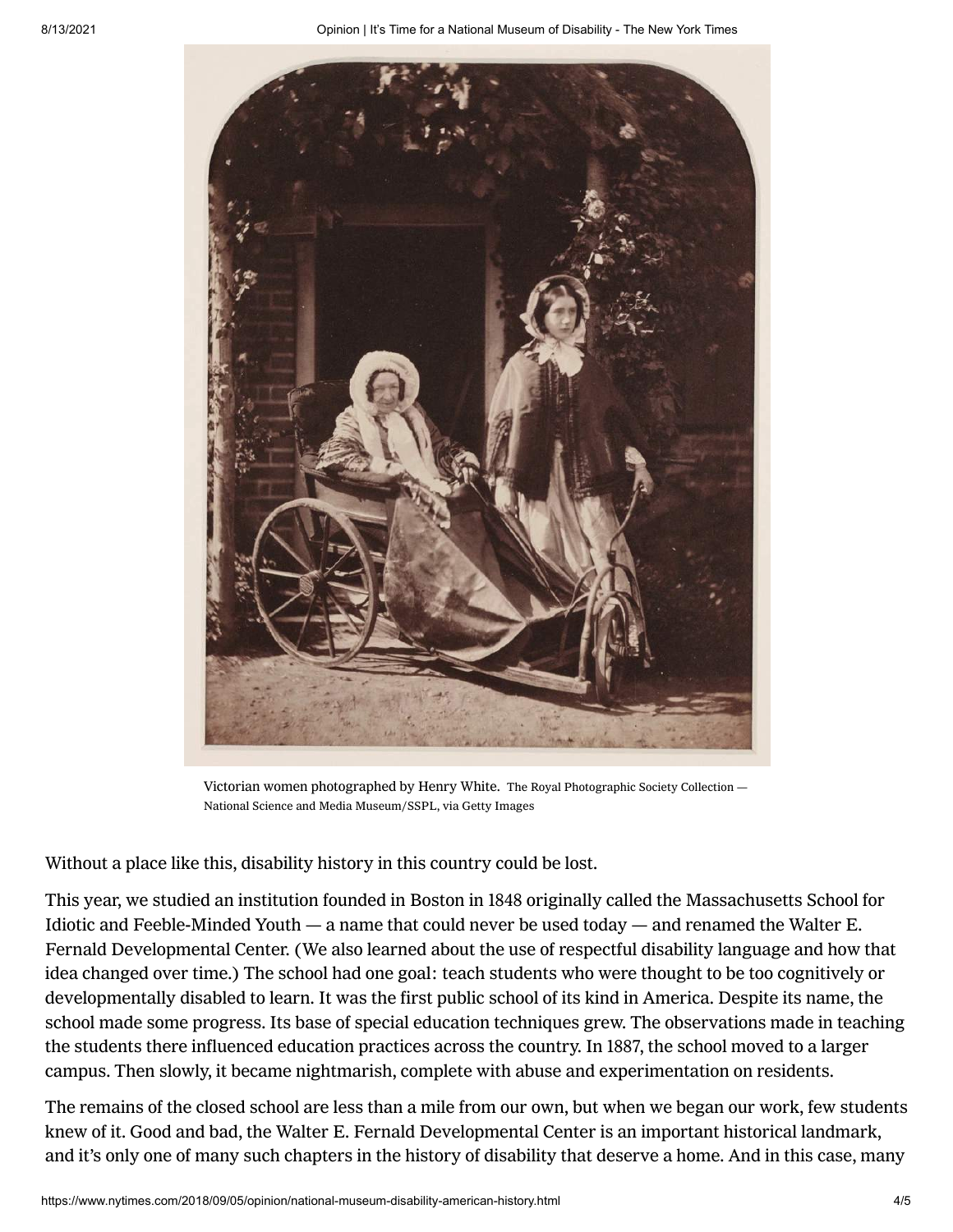

Victorian women photographed by Henry White. The Royal Photographic Society Collection — National Science and Media Museum/SSPL, via Getty Images

Without a place like this, disability history in this country could be lost.

This year, we studied an institution founded in Boston in 1848 originally called the Massachusetts School for Idiotic and Feeble-Minded Youth — a name that could never be used today — and renamed the Walter E. Fernald Developmental Center. (We also learned about the use of respectful disability language and how that idea changed over time.) The school had one goal: teach students who were thought to be too cognitively or developmentally disabled to learn. It was the first public school of its kind in America. Despite its name, the school made some progress. Its base of special education techniques grew. The observations made in teaching the students there influenced education practices across the country. In 1887, the school moved to a larger campus. Then slowly, it became nightmarish, complete with abuse and experimentation on residents.

The remains of the closed school are less than a mile from our own, but when we began our work, few students knew of it. Good and bad, the Walter E. Fernald Developmental Center is an important historical landmark, and it's only one of many such chapters in the history of disability that deserve a home. And in this case, many